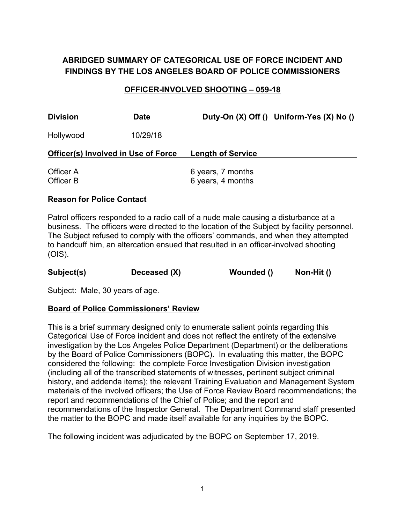# **ABRIDGED SUMMARY OF CATEGORICAL USE OF FORCE INCIDENT AND FINDINGS BY THE LOS ANGELES BOARD OF POLICE COMMISSIONERS**

#### **OFFICER-INVOLVED SHOOTING – 059-18**

| <b>Division</b>        | <b>Date</b>                                | Duty-On (X) Off () Uniform-Yes (X) No () |
|------------------------|--------------------------------------------|------------------------------------------|
| Hollywood              | 10/29/18                                   |                                          |
|                        | <b>Officer(s) Involved in Use of Force</b> | <b>Length of Service</b>                 |
| Officer A<br>Officer B |                                            | 6 years, 7 months<br>6 years, 4 months   |

#### **Reason for Police Contact**

Patrol officers responded to a radio call of a nude male causing a disturbance at a business. The officers were directed to the location of the Subject by facility personnel. The Subject refused to comply with the officers' commands, and when they attempted to handcuff him, an altercation ensued that resulted in an officer-involved shooting (OIS).

| Subject(s) | Deceased (X) | Wounded () | Non-Hit () |  |
|------------|--------------|------------|------------|--|
|            |              |            |            |  |

Subject: Male, 30 years of age.

#### **Board of Police Commissioners' Review**

This is a brief summary designed only to enumerate salient points regarding this Categorical Use of Force incident and does not reflect the entirety of the extensive investigation by the Los Angeles Police Department (Department) or the deliberations by the Board of Police Commissioners (BOPC). In evaluating this matter, the BOPC considered the following: the complete Force Investigation Division investigation (including all of the transcribed statements of witnesses, pertinent subject criminal history, and addenda items); the relevant Training Evaluation and Management System materials of the involved officers; the Use of Force Review Board recommendations; the report and recommendations of the Chief of Police; and the report and recommendations of the Inspector General. The Department Command staff presented the matter to the BOPC and made itself available for any inquiries by the BOPC.

The following incident was adjudicated by the BOPC on September 17, 2019.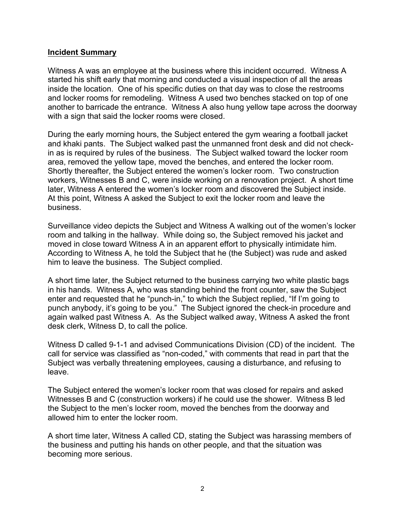#### **Incident Summary**

Witness A was an employee at the business where this incident occurred. Witness A started his shift early that morning and conducted a visual inspection of all the areas inside the location. One of his specific duties on that day was to close the restrooms and locker rooms for remodeling. Witness A used two benches stacked on top of one another to barricade the entrance. Witness A also hung yellow tape across the doorway with a sign that said the locker rooms were closed.

During the early morning hours, the Subject entered the gym wearing a football jacket and khaki pants. The Subject walked past the unmanned front desk and did not checkin as is required by rules of the business. The Subject walked toward the locker room area, removed the yellow tape, moved the benches, and entered the locker room. Shortly thereafter, the Subject entered the women's locker room. Two construction workers, Witnesses B and C, were inside working on a renovation project. A short time later, Witness A entered the women's locker room and discovered the Subject inside. At this point, Witness A asked the Subject to exit the locker room and leave the business.

Surveillance video depicts the Subject and Witness A walking out of the women's locker room and talking in the hallway. While doing so, the Subject removed his jacket and moved in close toward Witness A in an apparent effort to physically intimidate him. According to Witness A, he told the Subject that he (the Subject) was rude and asked him to leave the business. The Subject complied.

A short time later, the Subject returned to the business carrying two white plastic bags in his hands. Witness A, who was standing behind the front counter, saw the Subject enter and requested that he "punch-in," to which the Subject replied, "If I'm going to punch anybody, it's going to be you." The Subject ignored the check-in procedure and again walked past Witness A. As the Subject walked away, Witness A asked the front desk clerk, Witness D, to call the police.

Witness D called 9-1-1 and advised Communications Division (CD) of the incident. The call for service was classified as "non-coded," with comments that read in part that the Subject was verbally threatening employees, causing a disturbance, and refusing to leave.

The Subject entered the women's locker room that was closed for repairs and asked Witnesses B and C (construction workers) if he could use the shower. Witness B led the Subject to the men's locker room, moved the benches from the doorway and allowed him to enter the locker room.

A short time later, Witness A called CD, stating the Subject was harassing members of the business and putting his hands on other people, and that the situation was becoming more serious.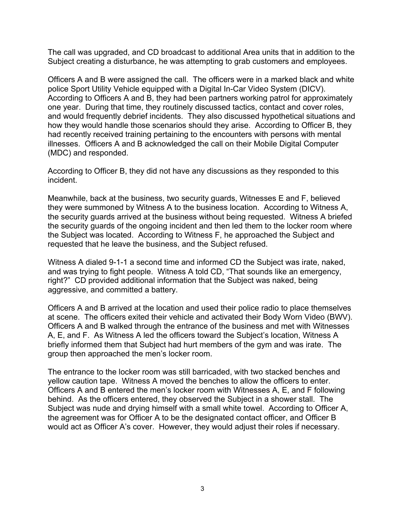The call was upgraded, and CD broadcast to additional Area units that in addition to the Subject creating a disturbance, he was attempting to grab customers and employees.

Officers A and B were assigned the call. The officers were in a marked black and white police Sport Utility Vehicle equipped with a Digital In-Car Video System (DICV). According to Officers A and B, they had been partners working patrol for approximately one year. During that time, they routinely discussed tactics, contact and cover roles, and would frequently debrief incidents. They also discussed hypothetical situations and how they would handle those scenarios should they arise. According to Officer B, they had recently received training pertaining to the encounters with persons with mental illnesses. Officers A and B acknowledged the call on their Mobile Digital Computer (MDC) and responded.

According to Officer B, they did not have any discussions as they responded to this incident.

Meanwhile, back at the business, two security guards, Witnesses E and F, believed they were summoned by Witness A to the business location. According to Witness A, the security guards arrived at the business without being requested. Witness A briefed the security guards of the ongoing incident and then led them to the locker room where the Subject was located. According to Witness F, he approached the Subject and requested that he leave the business, and the Subject refused.

Witness A dialed 9-1-1 a second time and informed CD the Subject was irate, naked, and was trying to fight people. Witness A told CD, "That sounds like an emergency, right?" CD provided additional information that the Subject was naked, being aggressive, and committed a battery.

Officers A and B arrived at the location and used their police radio to place themselves at scene. The officers exited their vehicle and activated their Body Worn Video (BWV). Officers A and B walked through the entrance of the business and met with Witnesses A, E, and F. As Witness A led the officers toward the Subject's location, Witness A briefly informed them that Subject had hurt members of the gym and was irate. The group then approached the men's locker room.

The entrance to the locker room was still barricaded, with two stacked benches and yellow caution tape. Witness A moved the benches to allow the officers to enter. Officers A and B entered the men's locker room with Witnesses A, E, and F following behind. As the officers entered, they observed the Subject in a shower stall. The Subject was nude and drying himself with a small white towel. According to Officer A, the agreement was for Officer A to be the designated contact officer, and Officer B would act as Officer A's cover. However, they would adjust their roles if necessary.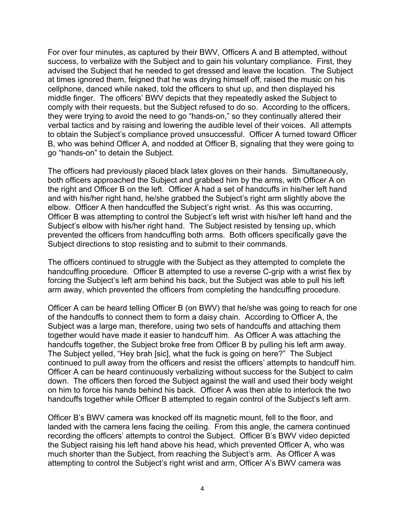For over four minutes, as captured by their BWV, Officers A and B attempted, without success, to verbalize with the Subject and to gain his voluntary compliance. First, they advised the Subject that he needed to get dressed and leave the location. The Subject at times ignored them, feigned that he was drying himself off, raised the music on his cellphone, danced while naked, told the officers to shut up, and then displayed his middle finger. The officers' BWV depicts that they repeatedly asked the Subject to comply with their requests, but the Subject refused to do so. According to the officers, they were trying to avoid the need to go "hands-on," so they continually altered their verbal tactics and by raising and lowering the audible level of their voices. All attempts to obtain the Subject's compliance proved unsuccessful. Officer A turned toward Officer B, who was behind Officer A, and nodded at Officer B, signaling that they were going to go "hands-on" to detain the Subject.

The officers had previously placed black latex gloves on their hands. Simultaneously, both officers approached the Subject and grabbed him by the arms, with Officer A on the right and Officer B on the left. Officer A had a set of handcuffs in his/her left hand and with his/her right hand, he/she grabbed the Subject's right arm slightly above the elbow. Officer A then handcuffed the Subject's right wrist. As this was occurring, Officer B was attempting to control the Subject's left wrist with his/her left hand and the Subject's elbow with his/her right hand. The Subject resisted by tensing up, which prevented the officers from handcuffing both arms. Both officers specifically gave the Subject directions to stop resisting and to submit to their commands.

The officers continued to struggle with the Subject as they attempted to complete the handcuffing procedure. Officer B attempted to use a reverse C-grip with a wrist flex by forcing the Subject's left arm behind his back, but the Subject was able to pull his left arm away, which prevented the officers from completing the handcuffing procedure.

Officer A can be heard telling Officer B (on BWV) that he/she was going to reach for one of the handcuffs to connect them to form a daisy chain. According to Officer A, the Subject was a large man, therefore, using two sets of handcuffs and attaching them together would have made it easier to handcuff him. As Officer A was attaching the handcuffs together, the Subject broke free from Officer B by pulling his left arm away. The Subject yelled, "Hey brah [sic], what the fuck is going on here?"The Subject continued to pull away from the officers and resist the officers' attempts to handcuff him. Officer A can be heard continuously verbalizing without success for the Subject to calm down. The officers then forced the Subject against the wall and used their body weight on him to force his hands behind his back. Officer A was then able to interlock the two handcuffs together while Officer B attempted to regain control of the Subject's left arm.

Officer B's BWV camera was knocked off its magnetic mount, fell to the floor, and landed with the camera lens facing the ceiling. From this angle, the camera continued recording the officers' attempts to control the Subject. Officer B's BWV video depicted the Subject raising his left hand above his head, which prevented Officer A, who was much shorter than the Subject, from reaching the Subject's arm. As Officer A was attempting to control the Subject's right wrist and arm, Officer A's BWV camera was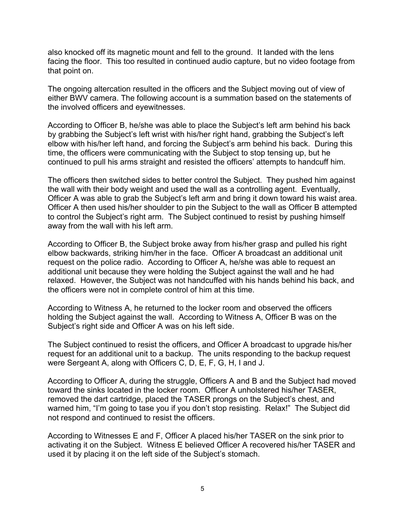also knocked off its magnetic mount and fell to the ground. It landed with the lens facing the floor. This too resulted in continued audio capture, but no video footage from that point on.

The ongoing altercation resulted in the officers and the Subject moving out of view of either BWV camera. The following account is a summation based on the statements of the involved officers and eyewitnesses.

According to Officer B, he/she was able to place the Subject's left arm behind his back by grabbing the Subject's left wrist with his/her right hand, grabbing the Subject's left elbow with his/her left hand, and forcing the Subject's arm behind his back. During this time, the officers were communicating with the Subject to stop tensing up, but he continued to pull his arms straight and resisted the officers' attempts to handcuff him.

The officers then switched sides to better control the Subject. They pushed him against the wall with their body weight and used the wall as a controlling agent. Eventually, Officer A was able to grab the Subject's left arm and bring it down toward his waist area. Officer A then used his/her shoulder to pin the Subject to the wall as Officer B attempted to control the Subject's right arm. The Subject continued to resist by pushing himself away from the wall with his left arm.

According to Officer B, the Subject broke away from his/her grasp and pulled his right elbow backwards, striking him/her in the face. Officer A broadcast an additional unit request on the police radio. According to Officer A, he/she was able to request an additional unit because they were holding the Subject against the wall and he had relaxed. However, the Subject was not handcuffed with his hands behind his back, and the officers were not in complete control of him at this time.

According to Witness A, he returned to the locker room and observed the officers holding the Subject against the wall. According to Witness A, Officer B was on the Subject's right side and Officer A was on his left side.

The Subject continued to resist the officers, and Officer A broadcast to upgrade his/her request for an additional unit to a backup. The units responding to the backup request were Sergeant A, along with Officers C, D, E, F, G, H, I and J.

According to Officer A, during the struggle, Officers A and B and the Subject had moved toward the sinks located in the locker room. Officer A unholstered his/her TASER, removed the dart cartridge, placed the TASER prongs on the Subject's chest, and warned him, "I'm going to tase you if you don't stop resisting. Relax!" The Subject did not respond and continued to resist the officers.

According to Witnesses E and F, Officer A placed his/her TASER on the sink prior to activating it on the Subject. Witness E believed Officer A recovered his/her TASER and used it by placing it on the left side of the Subject's stomach.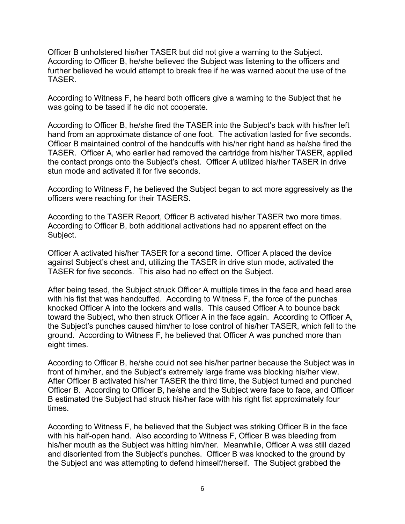Officer B unholstered his/her TASER but did not give a warning to the Subject. According to Officer B, he/she believed the Subject was listening to the officers and further believed he would attempt to break free if he was warned about the use of the TASER.

According to Witness F, he heard both officers give a warning to the Subject that he was going to be tased if he did not cooperate.

According to Officer B, he/she fired the TASER into the Subject's back with his/her left hand from an approximate distance of one foot. The activation lasted for five seconds. Officer B maintained control of the handcuffs with his/her right hand as he/she fired the TASER. Officer A, who earlier had removed the cartridge from his/her TASER, applied the contact prongs onto the Subject's chest. Officer A utilized his/her TASER in drive stun mode and activated it for five seconds.

According to Witness F, he believed the Subject began to act more aggressively as the officers were reaching for their TASERS.

According to the TASER Report, Officer B activated his/her TASER two more times. According to Officer B, both additional activations had no apparent effect on the Subject.

Officer A activated his/her TASER for a second time. Officer A placed the device against Subject's chest and, utilizing the TASER in drive stun mode, activated the TASER for five seconds. This also had no effect on the Subject.

After being tased, the Subject struck Officer A multiple times in the face and head area with his fist that was handcuffed. According to Witness F, the force of the punches knocked Officer A into the lockers and walls. This caused Officer A to bounce back toward the Subject, who then struck Officer A in the face again. According to Officer A, the Subject's punches caused him/her to lose control of his/her TASER, which fell to the ground. According to Witness F, he believed that Officer A was punched more than eight times.

According to Officer B, he/she could not see his/her partner because the Subject was in front of him/her, and the Subject's extremely large frame was blocking his/her view. After Officer B activated his/her TASER the third time, the Subject turned and punched Officer B. According to Officer B, he/she and the Subject were face to face, and Officer B estimated the Subject had struck his/her face with his right fist approximately four times.

According to Witness F, he believed that the Subject was striking Officer B in the face with his half-open hand. Also according to Witness F, Officer B was bleeding from his/her mouth as the Subject was hitting him/her. Meanwhile, Officer A was still dazed and disoriented from the Subject's punches. Officer B was knocked to the ground by the Subject and was attempting to defend himself/herself. The Subject grabbed the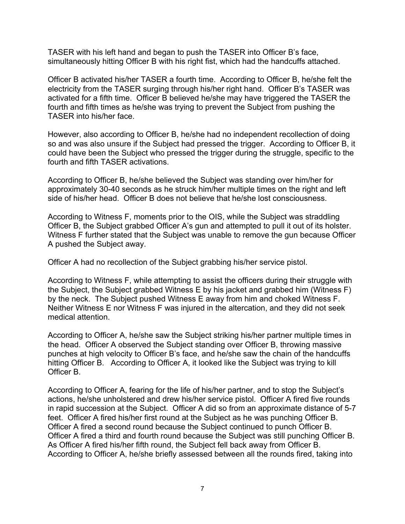TASER with his left hand and began to push the TASER into Officer B's face, simultaneously hitting Officer B with his right fist, which had the handcuffs attached.

Officer B activated his/her TASER a fourth time. According to Officer B, he/she felt the electricity from the TASER surging through his/her right hand. Officer B's TASER was activated for a fifth time. Officer B believed he/she may have triggered the TASER the fourth and fifth times as he/she was trying to prevent the Subject from pushing the TASER into his/her face.

However, also according to Officer B, he/she had no independent recollection of doing so and was also unsure if the Subject had pressed the trigger. According to Officer B, it could have been the Subject who pressed the trigger during the struggle, specific to the fourth and fifth TASER activations.

According to Officer B, he/she believed the Subject was standing over him/her for approximately 30-40 seconds as he struck him/her multiple times on the right and left side of his/her head. Officer B does not believe that he/she lost consciousness.

According to Witness F, moments prior to the OIS, while the Subject was straddling Officer B, the Subject grabbed Officer A's gun and attempted to pull it out of its holster. Witness F further stated that the Subject was unable to remove the gun because Officer A pushed the Subject away.

Officer A had no recollection of the Subject grabbing his/her service pistol.

According to Witness F, while attempting to assist the officers during their struggle with the Subject, the Subject grabbed Witness E by his jacket and grabbed him (Witness F) by the neck. The Subject pushed Witness E away from him and choked Witness F. Neither Witness E nor Witness F was injured in the altercation, and they did not seek medical attention.

According to Officer A, he/she saw the Subject striking his/her partner multiple times in the head. Officer A observed the Subject standing over Officer B, throwing massive punches at high velocity to Officer B's face, and he/she saw the chain of the handcuffs hitting Officer B. According to Officer A, it looked like the Subject was trying to kill Officer B.

According to Officer A, fearing for the life of his/her partner, and to stop the Subject's actions, he/she unholstered and drew his/her service pistol. Officer A fired five rounds in rapid succession at the Subject. Officer A did so from an approximate distance of 5-7 feet. Officer A fired his/her first round at the Subject as he was punching Officer B. Officer A fired a second round because the Subject continued to punch Officer B. Officer A fired a third and fourth round because the Subject was still punching Officer B. As Officer A fired his/her fifth round, the Subject fell back away from Officer B. According to Officer A, he/she briefly assessed between all the rounds fired, taking into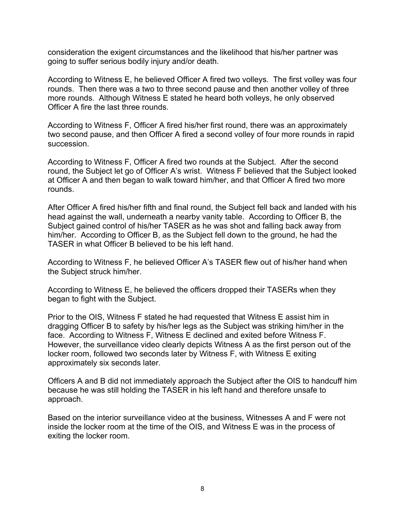consideration the exigent circumstances and the likelihood that his/her partner was going to suffer serious bodily injury and/or death.

According to Witness E, he believed Officer A fired two volleys. The first volley was four rounds. Then there was a two to three second pause and then another volley of three more rounds. Although Witness E stated he heard both volleys, he only observed Officer A fire the last three rounds.

According to Witness F, Officer A fired his/her first round, there was an approximately two second pause, and then Officer A fired a second volley of four more rounds in rapid succession.

According to Witness F, Officer A fired two rounds at the Subject. After the second round, the Subject let go of Officer A's wrist. Witness F believed that the Subject looked at Officer A and then began to walk toward him/her, and that Officer A fired two more rounds.

After Officer A fired his/her fifth and final round, the Subject fell back and landed with his head against the wall, underneath a nearby vanity table. According to Officer B, the Subject gained control of his/her TASER as he was shot and falling back away from him/her. According to Officer B, as the Subject fell down to the ground, he had the TASER in what Officer B believed to be his left hand.

According to Witness F, he believed Officer A's TASER flew out of his/her hand when the Subject struck him/her.

According to Witness E, he believed the officers dropped their TASERs when they began to fight with the Subject.

Prior to the OIS, Witness F stated he had requested that Witness E assist him in dragging Officer B to safety by his/her legs as the Subject was striking him/her in the face. According to Witness F, Witness E declined and exited before Witness F. However, the surveillance video clearly depicts Witness A as the first person out of the locker room, followed two seconds later by Witness F, with Witness E exiting approximately six seconds later.

Officers A and B did not immediately approach the Subject after the OIS to handcuff him because he was still holding the TASER in his left hand and therefore unsafe to approach.

Based on the interior surveillance video at the business, Witnesses A and F were not inside the locker room at the time of the OIS, and Witness E was in the process of exiting the locker room.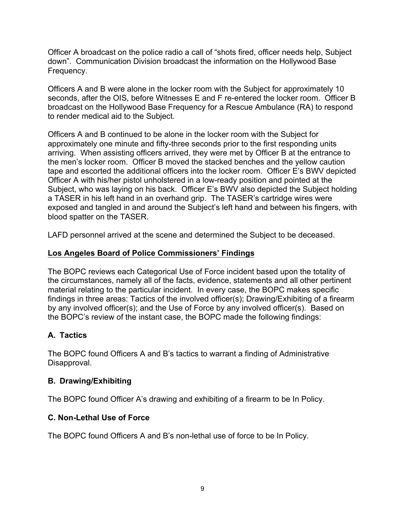Officer A broadcast on the police radio a call of "shots fired, officer needs help, Subject down". Communication Division broadcast the information on the Hollywood Base Frequency.

Officers A and B were alone in the locker room with the Subject for approximately 10 seconds, after the OIS, before Witnesses E and F re-entered the locker room. Officer B broadcast on the Hollywood Base Frequency for a Rescue Ambulance (RA) to respond to render medical aid to the Subject.

Officers A and B continued to be alone in the locker room with the Subject for approximately one minute and fifty-three seconds prior to the first responding units arriving. When assisting officers arrived, they were met by Officer B at the entrance to the men's locker room. Officer B moved the stacked benches and the yellow caution tape and escorted the additional officers into the locker room. Officer E's BWV depicted Officer A with his/her pistol unholstered in a low-ready position and pointed at the Subject, who was laying on his back. Officer E's BWV also depicted the Subject holding a TASER in his left hand in an overhand grip. The TASER's cartridge wires were exposed and tangled in and around the Subject's left hand and between his fingers, with blood spatter on the TASER.

LAFD personnel arrived at the scene and determined the Subject to be deceased.

### **Los Angeles Board of Police Commissioners' Findings**

The BOPC reviews each Categorical Use of Force incident based upon the totality of the circumstances, namely all of the facts, evidence, statements and all other pertinent material relating to the particular incident. In every case, the BOPC makes specific findings in three areas: Tactics of the involved officer(s); Drawing/Exhibiting of a firearm by any involved officer(s); and the Use of Force by any involved officer(s). Based on the BOPC's review of the instant case, the BOPC made the following findings:

# **A. Tactics**

The BOPC found Officers A and B's tactics to warrant a finding of Administrative Disapproval.

# **B. Drawing/Exhibiting**

The BOPC found Officer A's drawing and exhibiting of a firearm to be In Policy.

# **C. Non-Lethal Use of Force**

The BOPC found Officers A and B's non-lethal use of force to be In Policy.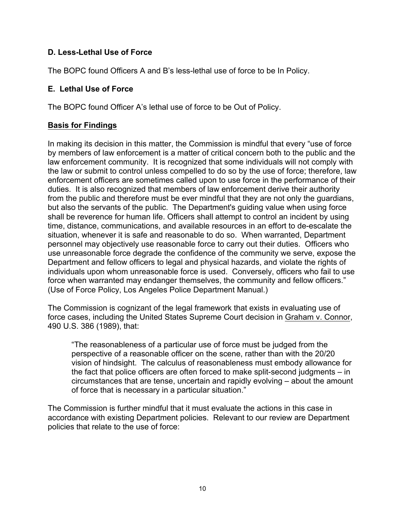## **D. Less-Lethal Use of Force**

The BOPC found Officers A and B's less-lethal use of force to be In Policy.

### **E. Lethal Use of Force**

The BOPC found Officer A's lethal use of force to be Out of Policy.

### **Basis for Findings**

In making its decision in this matter, the Commission is mindful that every "use of force by members of law enforcement is a matter of critical concern both to the public and the law enforcement community. It is recognized that some individuals will not comply with the law or submit to control unless compelled to do so by the use of force; therefore, law enforcement officers are sometimes called upon to use force in the performance of their duties. It is also recognized that members of law enforcement derive their authority from the public and therefore must be ever mindful that they are not only the guardians, but also the servants of the public. The Department's guiding value when using force shall be reverence for human life. Officers shall attempt to control an incident by using time, distance, communications, and available resources in an effort to de-escalate the situation, whenever it is safe and reasonable to do so. When warranted, Department personnel may objectively use reasonable force to carry out their duties. Officers who use unreasonable force degrade the confidence of the community we serve, expose the Department and fellow officers to legal and physical hazards, and violate the rights of individuals upon whom unreasonable force is used. Conversely, officers who fail to use force when warranted may endanger themselves, the community and fellow officers." (Use of Force Policy, Los Angeles Police Department Manual.)

The Commission is cognizant of the legal framework that exists in evaluating use of force cases, including the United States Supreme Court decision in Graham v. Connor, 490 U.S. 386 (1989), that:

"The reasonableness of a particular use of force must be judged from the perspective of a reasonable officer on the scene, rather than with the 20/20 vision of hindsight. The calculus of reasonableness must embody allowance for the fact that police officers are often forced to make split-second judgments – in circumstances that are tense, uncertain and rapidly evolving – about the amount of force that is necessary in a particular situation."

The Commission is further mindful that it must evaluate the actions in this case in accordance with existing Department policies. Relevant to our review are Department policies that relate to the use of force: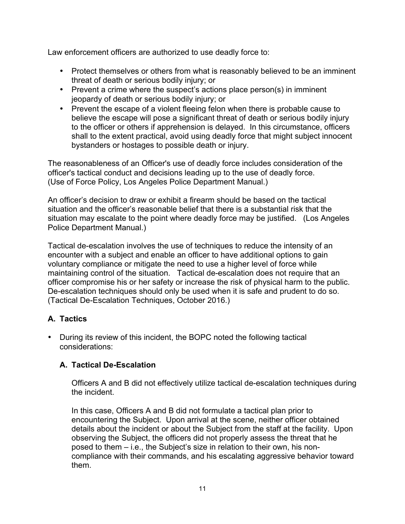Law enforcement officers are authorized to use deadly force to:

- Protect themselves or others from what is reasonably believed to be an imminent threat of death or serious bodily injury; or
- Prevent a crime where the suspect's actions place person(s) in imminent jeopardy of death or serious bodily injury; or
- Prevent the escape of a violent fleeing felon when there is probable cause to believe the escape will pose a significant threat of death or serious bodily injury to the officer or others if apprehension is delayed. In this circumstance, officers shall to the extent practical, avoid using deadly force that might subject innocent bystanders or hostages to possible death or injury.

The reasonableness of an Officer's use of deadly force includes consideration of the officer's tactical conduct and decisions leading up to the use of deadly force. (Use of Force Policy, Los Angeles Police Department Manual.)

An officer's decision to draw or exhibit a firearm should be based on the tactical situation and the officer's reasonable belief that there is a substantial risk that the situation may escalate to the point where deadly force may be justified. (Los Angeles Police Department Manual.)

Tactical de-escalation involves the use of techniques to reduce the intensity of an encounter with a subject and enable an officer to have additional options to gain voluntary compliance or mitigate the need to use a higher level of force while maintaining control of the situation. Tactical de-escalation does not require that an officer compromise his or her safety or increase the risk of physical harm to the public. De-escalation techniques should only be used when it is safe and prudent to do so. (Tactical De-Escalation Techniques, October 2016.)

# **A. Tactics**

• During its review of this incident, the BOPC noted the following tactical considerations:

# **A. Tactical De-Escalation**

Officers A and B did not effectively utilize tactical de-escalation techniques during the incident.

In this case, Officers A and B did not formulate a tactical plan prior to encountering the Subject. Upon arrival at the scene, neither officer obtained details about the incident or about the Subject from the staff at the facility. Upon observing the Subject, the officers did not properly assess the threat that he posed to them – i.e., the Subject's size in relation to their own, his noncompliance with their commands, and his escalating aggressive behavior toward them.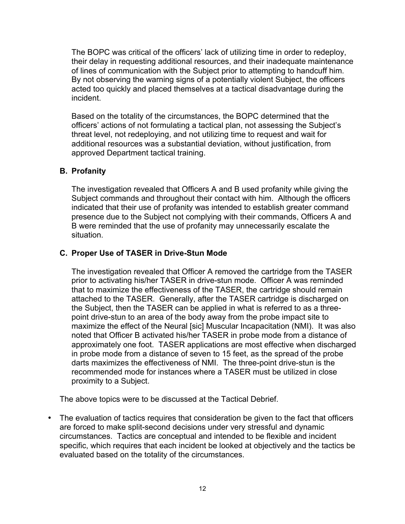The BOPC was critical of the officers' lack of utilizing time in order to redeploy, their delay in requesting additional resources, and their inadequate maintenance of lines of communication with the Subject prior to attempting to handcuff him. By not observing the warning signs of a potentially violent Subject, the officers acted too quickly and placed themselves at a tactical disadvantage during the incident.

Based on the totality of the circumstances, the BOPC determined that the officers' actions of not formulating a tactical plan, not assessing the Subject's threat level, not redeploying, and not utilizing time to request and wait for additional resources was a substantial deviation, without justification, from approved Department tactical training.

## **B. Profanity**

The investigation revealed that Officers A and B used profanity while giving the Subject commands and throughout their contact with him. Although the officers indicated that their use of profanity was intended to establish greater command presence due to the Subject not complying with their commands, Officers A and B were reminded that the use of profanity may unnecessarily escalate the situation.

## **C. Proper Use of TASER in Drive-Stun Mode**

The investigation revealed that Officer A removed the cartridge from the TASER prior to activating his/her TASER in drive-stun mode. Officer A was reminded that to maximize the effectiveness of the TASER, the cartridge should remain attached to the TASER. Generally, after the TASER cartridge is discharged on the Subject, then the TASER can be applied in what is referred to as a threepoint drive-stun to an area of the body away from the probe impact site to maximize the effect of the Neural [sic] Muscular Incapacitation (NMI). It was also noted that Officer B activated his/her TASER in probe mode from a distance of approximately one foot. TASER applications are most effective when discharged in probe mode from a distance of seven to 15 feet, as the spread of the probe darts maximizes the effectiveness of NMI. The three-point drive-stun is the recommended mode for instances where a TASER must be utilized in close proximity to a Subject.

The above topics were to be discussed at the Tactical Debrief.

• The evaluation of tactics requires that consideration be given to the fact that officers are forced to make split-second decisions under very stressful and dynamic circumstances. Tactics are conceptual and intended to be flexible and incident specific, which requires that each incident be looked at objectively and the tactics be evaluated based on the totality of the circumstances.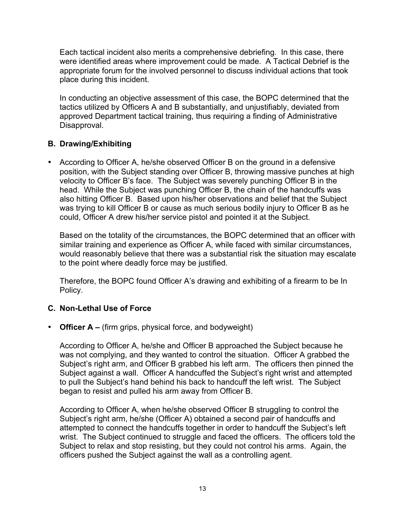Each tactical incident also merits a comprehensive debriefing. In this case, there were identified areas where improvement could be made. A Tactical Debrief is the appropriate forum for the involved personnel to discuss individual actions that took place during this incident.

In conducting an objective assessment of this case, the BOPC determined that the tactics utilized by Officers A and B substantially, and unjustifiably, deviated from approved Department tactical training, thus requiring a finding of Administrative Disapproval.

### **B. Drawing/Exhibiting**

• According to Officer A, he/she observed Officer B on the ground in a defensive position, with the Subject standing over Officer B, throwing massive punches at high velocity to Officer B's face. The Subject was severely punching Officer B in the head. While the Subject was punching Officer B, the chain of the handcuffs was also hitting Officer B. Based upon his/her observations and belief that the Subject was trying to kill Officer B or cause as much serious bodily injury to Officer B as he could, Officer A drew his/her service pistol and pointed it at the Subject.

Based on the totality of the circumstances, the BOPC determined that an officer with similar training and experience as Officer A, while faced with similar circumstances, would reasonably believe that there was a substantial risk the situation may escalate to the point where deadly force may be justified.

Therefore, the BOPC found Officer A's drawing and exhibiting of a firearm to be In Policy.

#### **C. Non-Lethal Use of Force**

• **Officer A –** (firm grips, physical force, and bodyweight)

According to Officer A, he/she and Officer B approached the Subject because he was not complying, and they wanted to control the situation. Officer A grabbed the Subject's right arm, and Officer B grabbed his left arm. The officers then pinned the Subject against a wall. Officer A handcuffed the Subject's right wrist and attempted to pull the Subject's hand behind his back to handcuff the left wrist. The Subject began to resist and pulled his arm away from Officer B.

According to Officer A, when he/she observed Officer B struggling to control the Subject's right arm, he/she (Officer A) obtained a second pair of handcuffs and attempted to connect the handcuffs together in order to handcuff the Subject's left wrist. The Subject continued to struggle and faced the officers. The officers told the Subject to relax and stop resisting, but they could not control his arms. Again, the officers pushed the Subject against the wall as a controlling agent.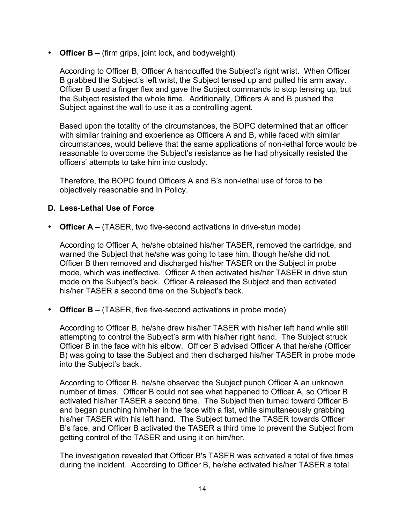• **Officer B –** (firm grips, joint lock, and bodyweight)

According to Officer B, Officer A handcuffed the Subject's right wrist. When Officer B grabbed the Subject's left wrist, the Subject tensed up and pulled his arm away. Officer B used a finger flex and gave the Subject commands to stop tensing up, but the Subject resisted the whole time. Additionally, Officers A and B pushed the Subject against the wall to use it as a controlling agent.

Based upon the totality of the circumstances, the BOPC determined that an officer with similar training and experience as Officers A and B, while faced with similar circumstances, would believe that the same applications of non-lethal force would be reasonable to overcome the Subject's resistance as he had physically resisted the officers' attempts to take him into custody.

Therefore, the BOPC found Officers A and B's non-lethal use of force to be objectively reasonable and In Policy.

#### **D. Less-Lethal Use of Force**

• **Officer A –** (TASER, two five-second activations in drive-stun mode)

According to Officer A, he/she obtained his/her TASER, removed the cartridge, and warned the Subject that he/she was going to tase him, though he/she did not. Officer B then removed and discharged his/her TASER on the Subject in probe mode, which was ineffective. Officer A then activated his/her TASER in drive stun mode on the Subject's back. Officer A released the Subject and then activated his/her TASER a second time on the Subject's back.

• **Officer B –** (TASER, five five-second activations in probe mode)

According to Officer B, he/she drew his/her TASER with his/her left hand while still attempting to control the Subject's arm with his/her right hand. The Subject struck Officer B in the face with his elbow. Officer B advised Officer A that he/she (Officer B) was going to tase the Subject and then discharged his/her TASER in probe mode into the Subject's back.

According to Officer B, he/she observed the Subject punch Officer A an unknown number of times. Officer B could not see what happened to Officer A, so Officer B activated his/her TASER a second time. The Subject then turned toward Officer B and began punching him/her in the face with a fist, while simultaneously grabbing his/her TASER with his left hand. The Subject turned the TASER towards Officer B's face, and Officer B activated the TASER a third time to prevent the Subject from getting control of the TASER and using it on him/her.

The investigation revealed that Officer B's TASER was activated a total of five times during the incident. According to Officer B, he/she activated his/her TASER a total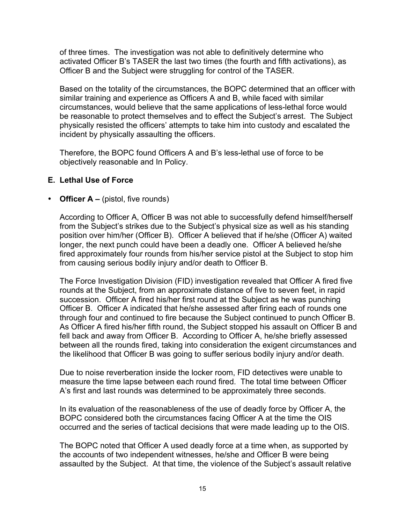of three times. The investigation was not able to definitively determine who activated Officer B's TASER the last two times (the fourth and fifth activations), as Officer B and the Subject were struggling for control of the TASER.

Based on the totality of the circumstances, the BOPC determined that an officer with similar training and experience as Officers A and B, while faced with similar circumstances, would believe that the same applications of less-lethal force would be reasonable to protect themselves and to effect the Subject's arrest. The Subject physically resisted the officers' attempts to take him into custody and escalated the incident by physically assaulting the officers.

Therefore, the BOPC found Officers A and B's less-lethal use of force to be objectively reasonable and In Policy.

### **E. Lethal Use of Force**

• **Officer A** – (pistol, five rounds)

According to Officer A, Officer B was not able to successfully defend himself/herself from the Subject's strikes due to the Subject's physical size as well as his standing position over him/her (Officer B). Officer A believed that if he/she (Officer A) waited longer, the next punch could have been a deadly one. Officer A believed he/she fired approximately four rounds from his/her service pistol at the Subject to stop him from causing serious bodily injury and/or death to Officer B.

The Force Investigation Division (FID) investigation revealed that Officer A fired five rounds at the Subject, from an approximate distance of five to seven feet, in rapid succession. Officer A fired his/her first round at the Subject as he was punching Officer B. Officer A indicated that he/she assessed after firing each of rounds one through four and continued to fire because the Subject continued to punch Officer B. As Officer A fired his/her fifth round, the Subject stopped his assault on Officer B and fell back and away from Officer B. According to Officer A, he/she briefly assessed between all the rounds fired, taking into consideration the exigent circumstances and the likelihood that Officer B was going to suffer serious bodily injury and/or death.

Due to noise reverberation inside the locker room, FID detectives were unable to measure the time lapse between each round fired. The total time between Officer A's first and last rounds was determined to be approximately three seconds.

In its evaluation of the reasonableness of the use of deadly force by Officer A, the BOPC considered both the circumstances facing Officer A at the time the OIS occurred and the series of tactical decisions that were made leading up to the OIS.

The BOPC noted that Officer A used deadly force at a time when, as supported by the accounts of two independent witnesses, he/she and Officer B were being assaulted by the Subject. At that time, the violence of the Subject's assault relative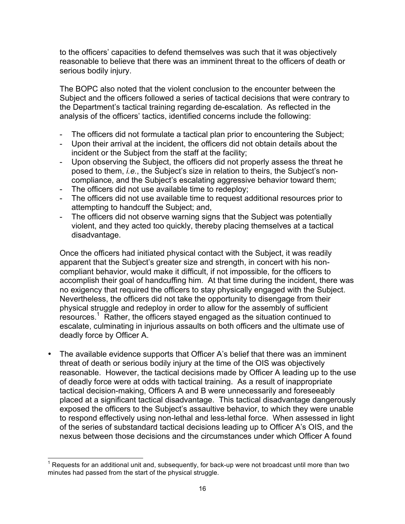to the officers' capacities to defend themselves was such that it was objectively reasonable to believe that there was an imminent threat to the officers of death or serious bodily injury.

The BOPC also noted that the violent conclusion to the encounter between the Subject and the officers followed a series of tactical decisions that were contrary to the Department's tactical training regarding de-escalation. As reflected in the analysis of the officers' tactics, identified concerns include the following:

- The officers did not formulate a tactical plan prior to encountering the Subject;
- Upon their arrival at the incident, the officers did not obtain details about the incident or the Subject from the staff at the facility;
- Upon observing the Subject, the officers did not properly assess the threat he posed to them, *i.e.*, the Subject's size in relation to theirs, the Subject's noncompliance, and the Subject's escalating aggressive behavior toward them;
- The officers did not use available time to redeploy;
- The officers did not use available time to request additional resources prior to attempting to handcuff the Subject; and,
- The officers did not observe warning signs that the Subject was potentially violent, and they acted too quickly, thereby placing themselves at a tactical disadvantage.

Once the officers had initiated physical contact with the Subject, it was readily apparent that the Subject's greater size and strength, in concert with his noncompliant behavior, would make it difficult, if not impossible, for the officers to accomplish their goal of handcuffing him. At that time during the incident, there was no exigency that required the officers to stay physically engaged with the Subject. Nevertheless, the officers did not take the opportunity to disengage from their physical struggle and redeploy in order to allow for the assembly of sufficient resources.<sup>1</sup> Rather, the officers stayed engaged as the situation continued to escalate, culminating in injurious assaults on both officers and the ultimate use of deadly force by Officer A.

The available evidence supports that Officer A's belief that there was an imminent threat of death or serious bodily injury at the time of the OIS was objectively reasonable. However, the tactical decisions made by Officer A leading up to the use of deadly force were at odds with tactical training. As a result of inappropriate tactical decision-making, Officers A and B were unnecessarily and foreseeably placed at a significant tactical disadvantage. This tactical disadvantage dangerously exposed the officers to the Subject's assaultive behavior, to which they were unable to respond effectively using non-lethal and less-lethal force. When assessed in light of the series of substandard tactical decisions leading up to Officer A's OIS, and the nexus between those decisions and the circumstances under which Officer A found

 $1$  Requests for an additional unit and, subsequently, for back-up were not broadcast until more than two minutes had passed from the start of the physical struggle.